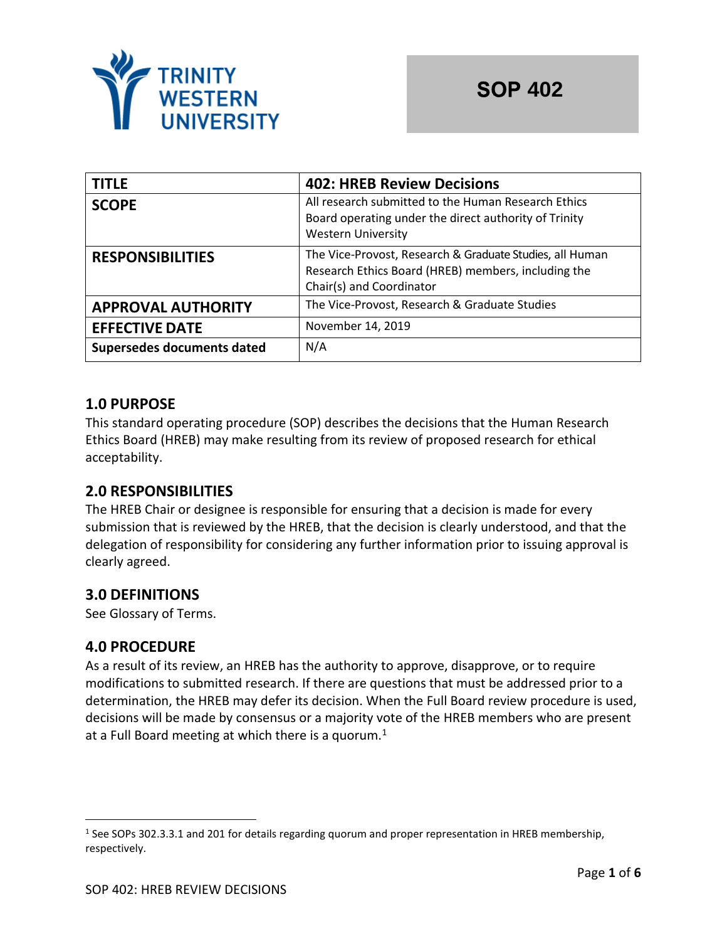

| <b>TITLE</b>               | <b>402: HREB Review Decisions</b>                                                                                                           |
|----------------------------|---------------------------------------------------------------------------------------------------------------------------------------------|
| <b>SCOPE</b>               | All research submitted to the Human Research Ethics<br>Board operating under the direct authority of Trinity<br><b>Western University</b>   |
| <b>RESPONSIBILITIES</b>    | The Vice-Provost, Research & Graduate Studies, all Human<br>Research Ethics Board (HREB) members, including the<br>Chair(s) and Coordinator |
| <b>APPROVAL AUTHORITY</b>  | The Vice-Provost, Research & Graduate Studies                                                                                               |
| <b>EFFECTIVE DATE</b>      | November 14, 2019                                                                                                                           |
| Supersedes documents dated | N/A                                                                                                                                         |

### **1.0 PURPOSE**

This standard operating procedure (SOP) describes the decisions that the Human Research Ethics Board (HREB) may make resulting from its review of proposed research for ethical acceptability.

#### **2.0 RESPONSIBILITIES**

The HREB Chair or designee is responsible for ensuring that a decision is made for every submission that is reviewed by the HREB, that the decision is clearly understood, and that the delegation of responsibility for considering any further information prior to issuing approval is clearly agreed.

# **3.0 DEFINITIONS**

See Glossary of Terms.

# **4.0 PROCEDURE**

As a result of its review, an HREB has the authority to approve, disapprove, or to require modifications to submitted research. If there are questions that must be addressed prior to a determination, the HREB may defer its decision. When the Full Board review procedure is used, decisions will be made by consensus or a majority vote of the HREB members who are present at a Full Board meeting at which there is a quorum. $1$ 

<sup>&</sup>lt;sup>1</sup> See SOPs 302.3.3.1 and 201 for details regarding quorum and proper representation in HREB membership, respectively.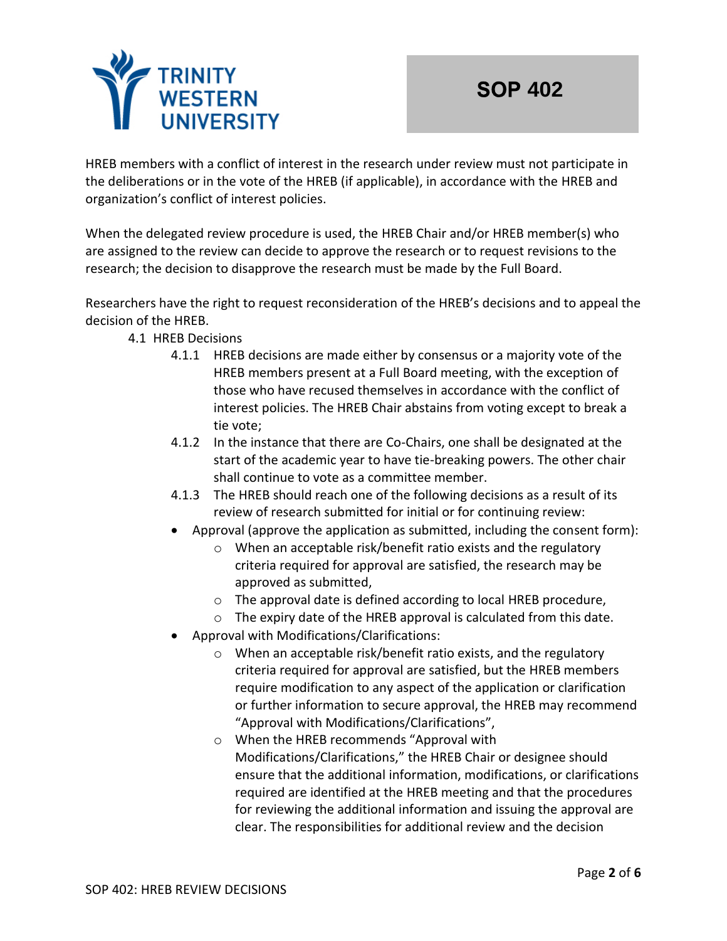

HREB members with a conflict of interest in the research under review must not participate in the deliberations or in the vote of the HREB (if applicable), in accordance with the HREB and organization's conflict of interest policies.

When the delegated review procedure is used, the HREB Chair and/or HREB member(s) who are assigned to the review can decide to approve the research or to request revisions to the research; the decision to disapprove the research must be made by the Full Board.

Researchers have the right to request reconsideration of the HREB's decisions and to appeal the decision of the HREB.

- 4.1 HREB Decisions
	- 4.1.1 HREB decisions are made either by consensus or a majority vote of the HREB members present at a Full Board meeting, with the exception of those who have recused themselves in accordance with the conflict of interest policies. The HREB Chair abstains from voting except to break a tie vote;
	- 4.1.2 In the instance that there are Co-Chairs, one shall be designated at the start of the academic year to have tie-breaking powers. The other chair shall continue to vote as a committee member.
	- 4.1.3 The HREB should reach one of the following decisions as a result of its review of research submitted for initial or for continuing review:
	- Approval (approve the application as submitted, including the consent form):
		- o When an acceptable risk/benefit ratio exists and the regulatory criteria required for approval are satisfied, the research may be approved as submitted,
		- o The approval date is defined according to local HREB procedure,
		- o The expiry date of the HREB approval is calculated from this date.
	- Approval with Modifications/Clarifications:
		- o When an acceptable risk/benefit ratio exists, and the regulatory criteria required for approval are satisfied, but the HREB members require modification to any aspect of the application or clarification or further information to secure approval, the HREB may recommend "Approval with Modifications/Clarifications",
		- o When the HREB recommends "Approval with Modifications/Clarifications," the HREB Chair or designee should ensure that the additional information, modifications, or clarifications required are identified at the HREB meeting and that the procedures for reviewing the additional information and issuing the approval are clear. The responsibilities for additional review and the decision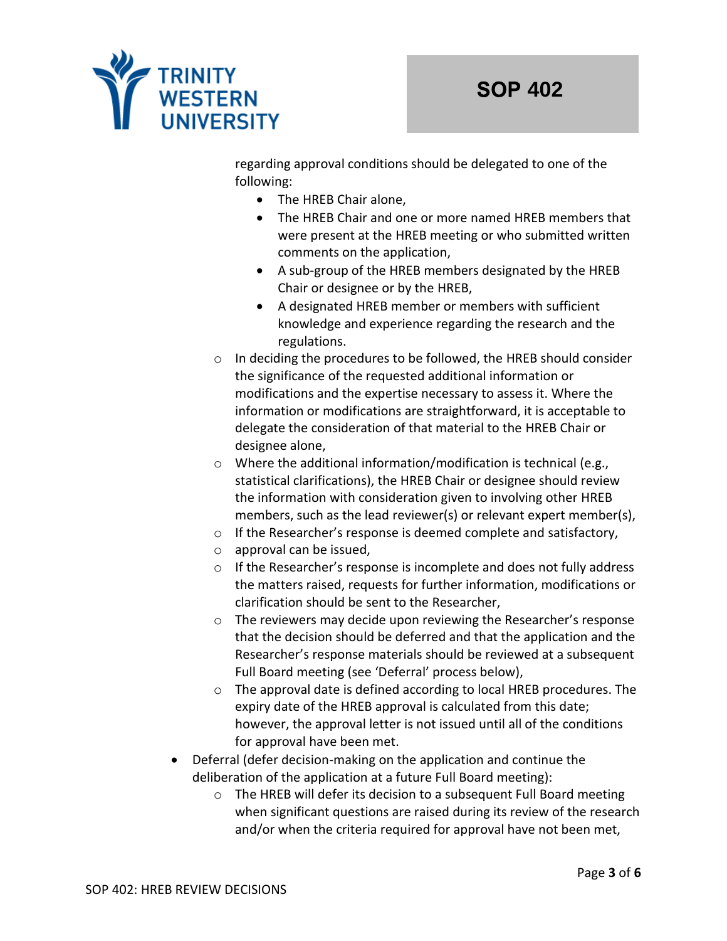

regarding approval conditions should be delegated to one of the following:

- The HREB Chair alone,
- The HREB Chair and one or more named HREB members that were present at the HREB meeting or who submitted written comments on the application,
- A sub-group of the HREB members designated by the HREB Chair or designee or by the HREB,
- A designated HREB member or members with sufficient knowledge and experience regarding the research and the regulations.
- o In deciding the procedures to be followed, the HREB should consider the significance of the requested additional information or modifications and the expertise necessary to assess it. Where the information or modifications are straightforward, it is acceptable to delegate the consideration of that material to the HREB Chair or designee alone,
- o Where the additional information/modification is technical (e.g., statistical clarifications), the HREB Chair or designee should review the information with consideration given to involving other HREB members, such as the lead reviewer(s) or relevant expert member(s),
- o If the Researcher's response is deemed complete and satisfactory,
- o approval can be issued,
- o If the Researcher's response is incomplete and does not fully address the matters raised, requests for further information, modifications or clarification should be sent to the Researcher,
- o The reviewers may decide upon reviewing the Researcher's response that the decision should be deferred and that the application and the Researcher's response materials should be reviewed at a subsequent Full Board meeting (see 'Deferral' process below),
- $\circ$  The approval date is defined according to local HREB procedures. The expiry date of the HREB approval is calculated from this date; however, the approval letter is not issued until all of the conditions for approval have been met.
- Deferral (defer decision-making on the application and continue the deliberation of the application at a future Full Board meeting):
	- $\circ$  The HREB will defer its decision to a subsequent Full Board meeting when significant questions are raised during its review of the research and/or when the criteria required for approval have not been met,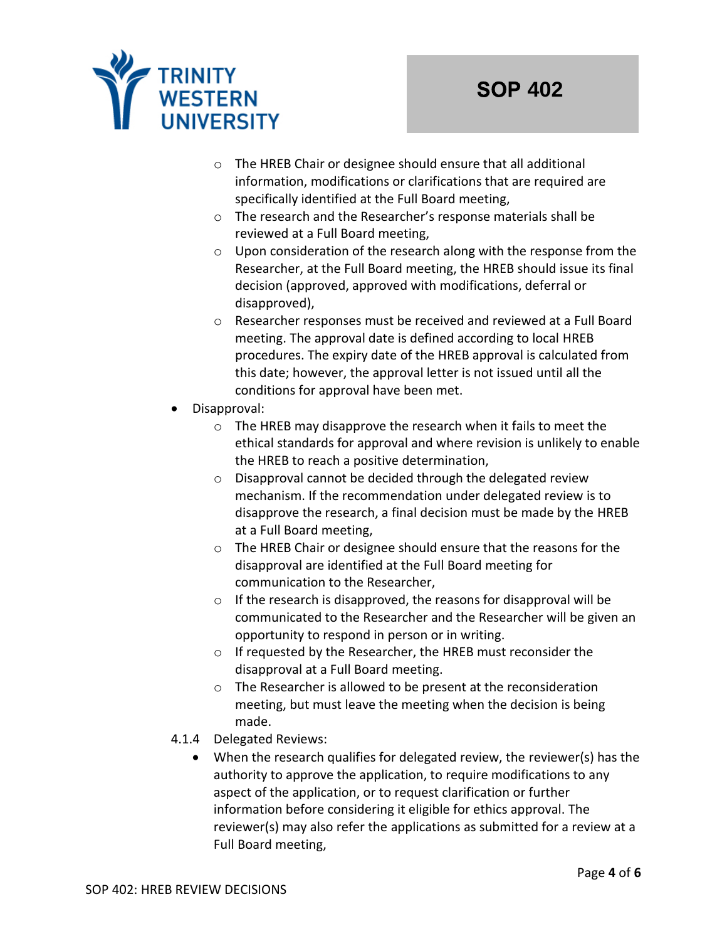

- o The HREB Chair or designee should ensure that all additional information, modifications or clarifications that are required are specifically identified at the Full Board meeting,
- o The research and the Researcher's response materials shall be reviewed at a Full Board meeting,
- o Upon consideration of the research along with the response from the Researcher, at the Full Board meeting, the HREB should issue its final decision (approved, approved with modifications, deferral or disapproved),
- o Researcher responses must be received and reviewed at a Full Board meeting. The approval date is defined according to local HREB procedures. The expiry date of the HREB approval is calculated from this date; however, the approval letter is not issued until all the conditions for approval have been met.
- Disapproval:
	- o The HREB may disapprove the research when it fails to meet the ethical standards for approval and where revision is unlikely to enable the HREB to reach a positive determination,
	- o Disapproval cannot be decided through the delegated review mechanism. If the recommendation under delegated review is to disapprove the research, a final decision must be made by the HREB at a Full Board meeting,
	- o The HREB Chair or designee should ensure that the reasons for the disapproval are identified at the Full Board meeting for communication to the Researcher,
	- o If the research is disapproved, the reasons for disapproval will be communicated to the Researcher and the Researcher will be given an opportunity to respond in person or in writing.
	- o If requested by the Researcher, the HREB must reconsider the disapproval at a Full Board meeting.
	- o The Researcher is allowed to be present at the reconsideration meeting, but must leave the meeting when the decision is being made.
- 4.1.4 Delegated Reviews:
	- When the research qualifies for delegated review, the reviewer(s) has the authority to approve the application, to require modifications to any aspect of the application, or to request clarification or further information before considering it eligible for ethics approval. The reviewer(s) may also refer the applications as submitted for a review at a Full Board meeting,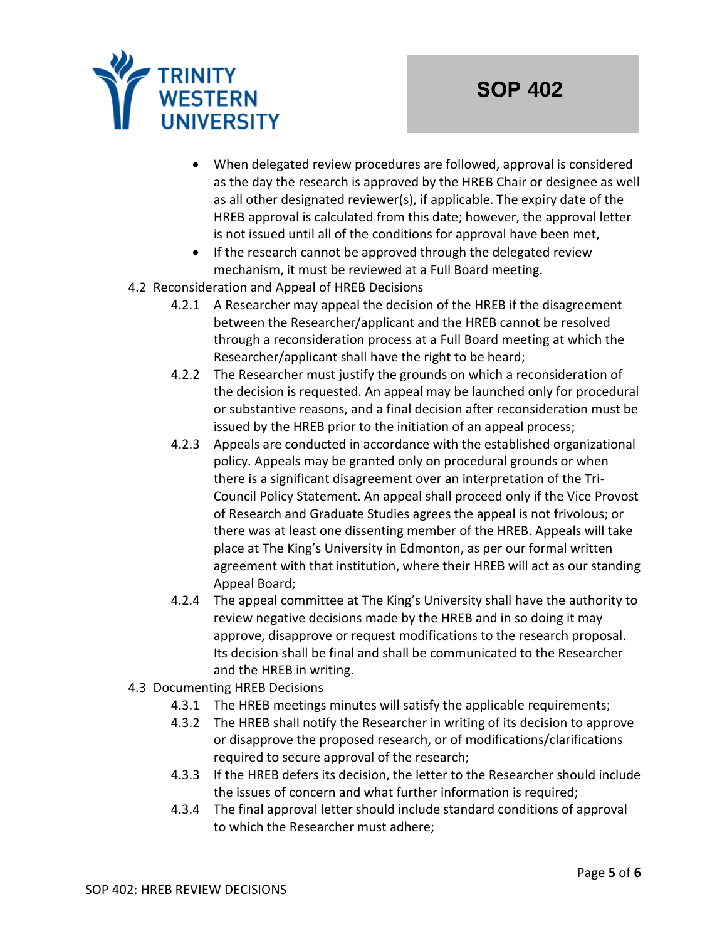

- When delegated review procedures are followed, approval is considered as the day the research is approved by the HREB Chair or designee as well as all other designated reviewer(s), if applicable. The expiry date of the HREB approval is calculated from this date; however, the approval letter is not issued until all of the conditions for approval have been met,
- If the research cannot be approved through the delegated review mechanism, it must be reviewed at a Full Board meeting.
- 4.2 Reconsideration and Appeal of HREB Decisions
	- 4.2.1 A Researcher may appeal the decision of the HREB if the disagreement between the Researcher/applicant and the HREB cannot be resolved through a reconsideration process at a Full Board meeting at which the Researcher/applicant shall have the right to be heard;
	- 4.2.2 The Researcher must justify the grounds on which a reconsideration of the decision is requested. An appeal may be launched only for procedural or substantive reasons, and a final decision after reconsideration must be issued by the HREB prior to the initiation of an appeal process;
	- 4.2.3 Appeals are conducted in accordance with the established organizational policy. Appeals may be granted only on procedural grounds or when there is a significant disagreement over an interpretation of the Tri-Council Policy Statement. An appeal shall proceed only if the Vice Provost of Research and Graduate Studies agrees the appeal is not frivolous; or there was at least one dissenting member of the HREB. Appeals will take place at The King's University in Edmonton, as per our formal written agreement with that institution, where their HREB will act as our standing Appeal Board;
	- 4.2.4 The appeal committee at The King's University shall have the authority to review negative decisions made by the HREB and in so doing it may approve, disapprove or request modifications to the research proposal. Its decision shall be final and shall be communicated to the Researcher and the HREB in writing.
- 4.3 Documenting HREB Decisions
	- 4.3.1 The HREB meetings minutes will satisfy the applicable requirements;
	- 4.3.2 The HREB shall notify the Researcher in writing of its decision to approve or disapprove the proposed research, or of modifications/clarifications required to secure approval of the research;
	- 4.3.3 If the HREB defers its decision, the letter to the Researcher should include the issues of concern and what further information is required;
	- 4.3.4 The final approval letter should include standard conditions of approval to which the Researcher must adhere;